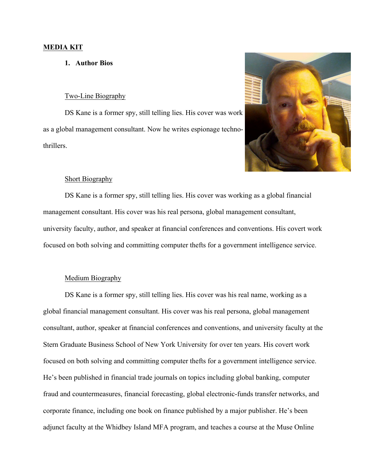#### **MEDIA KIT**

## **1. Author Bios**

#### Two-Line Biography

DS Kane is a former spy, still telling lies. His cover was work as a global management consultant. Now he writes espionage technothrillers.



## Short Biography

DS Kane is a former spy, still telling lies. His cover was working as a global financial management consultant. His cover was his real persona, global management consultant, university faculty, author, and speaker at financial conferences and conventions. His covert work focused on both solving and committing computer thefts for a government intelligence service.

# Medium Biography

DS Kane is a former spy, still telling lies. His cover was his real name, working as a global financial management consultant. His cover was his real persona, global management consultant, author, speaker at financial conferences and conventions, and university faculty at the Stern Graduate Business School of New York University for over ten years. His covert work focused on both solving and committing computer thefts for a government intelligence service. He's been published in financial trade journals on topics including global banking, computer fraud and countermeasures, financial forecasting, global electronic-funds transfer networks, and corporate finance, including one book on finance published by a major publisher. He's been adjunct faculty at the Whidbey Island MFA program, and teaches a course at the Muse Online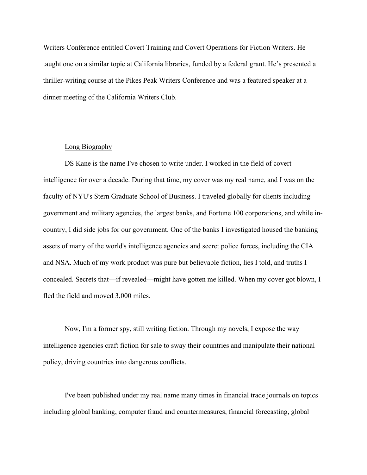Writers Conference entitled Covert Training and Covert Operations for Fiction Writers. He taught one on a similar topic at California libraries, funded by a federal grant. He's presented a thriller-writing course at the Pikes Peak Writers Conference and was a featured speaker at a dinner meeting of the California Writers Club.

#### Long Biography

DS Kane is the name I've chosen to write under. I worked in the field of covert intelligence for over a decade. During that time, my cover was my real name, and I was on the faculty of NYU's Stern Graduate School of Business. I traveled globally for clients including government and military agencies, the largest banks, and Fortune 100 corporations, and while incountry, I did side jobs for our government. One of the banks I investigated housed the banking assets of many of the world's intelligence agencies and secret police forces, including the CIA and NSA. Much of my work product was pure but believable fiction, lies I told, and truths I concealed. Secrets that—if revealed—might have gotten me killed. When my cover got blown, I fled the field and moved 3,000 miles.

Now, I'm a former spy, still writing fiction. Through my novels, I expose the way intelligence agencies craft fiction for sale to sway their countries and manipulate their national policy, driving countries into dangerous conflicts.

I've been published under my real name many times in financial trade journals on topics including global banking, computer fraud and countermeasures, financial forecasting, global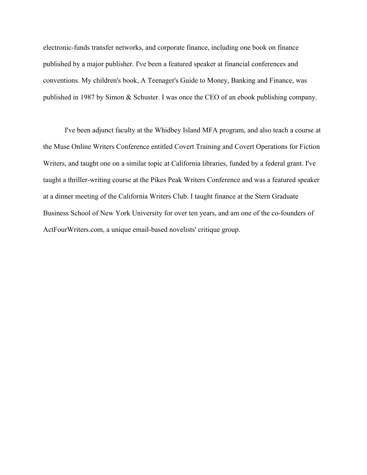electronic-funds transfer networks, and corporate finance, including one book on finance published by a major publisher. I've been a featured speaker at financial conferences and conventions. My children's book, A Teenager's Guide to Money, Banking and Finance, was published in 1987 by Simon & Schuster. I was once the CEO of an ebook publishing company.

I've been adjunct faculty at the Whidbey Island MFA program, and also teach a course at the Muse Online Writers Conference entitled Covert Training and Covert Operations for Fiction Writers, and taught one on a similar topic at California libraries, funded by a federal grant. I've taught a thriller-writing course at the Pikes Peak Writers Conference and was a featured speaker at a dinner meeting of the California Writers Club. I taught finance at the Stern Graduate Business School of New York University for over ten years, and am one of the co-founders of ActFourWriters.com, a unique email-based novelists' critique group.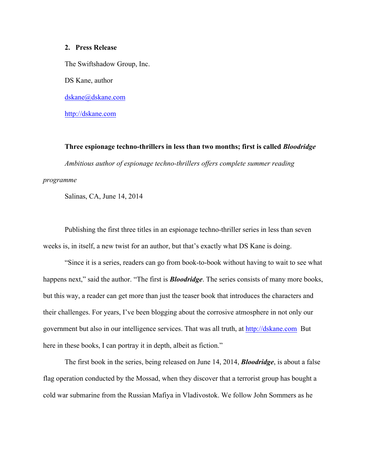#### **2. Press Release**

The Swiftshadow Group, Inc. DS Kane, author dskane@dskane.com http://dskane.com

**Three espionage techno-thrillers in less than two months; first is called** *Bloodridge Ambitious author of espionage techno-thrillers offers complete summer reading programme*

Salinas, CA, June 14, 2014

Publishing the first three titles in an espionage techno-thriller series in less than seven weeks is, in itself, a new twist for an author, but that's exactly what DS Kane is doing.

"Since it is a series, readers can go from book-to-book without having to wait to see what happens next," said the author. "The first is *Bloodridge*. The series consists of many more books, but this way, a reader can get more than just the teaser book that introduces the characters and their challenges. For years, I've been blogging about the corrosive atmosphere in not only our government but also in our intelligence services. That was all truth, at http://dskane.com But here in these books, I can portray it in depth, albeit as fiction."

The first book in the series, being released on June 14, 2014, *Bloodridge*, is about a false flag operation conducted by the Mossad, when they discover that a terrorist group has bought a cold war submarine from the Russian Mafiya in Vladivostok. We follow John Sommers as he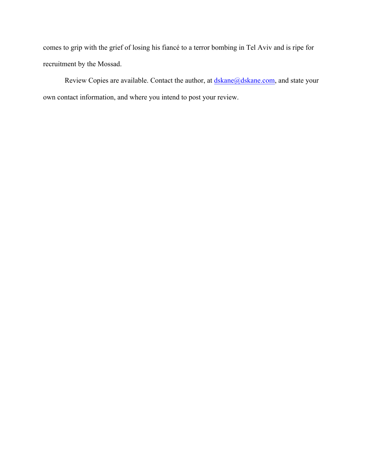comes to grip with the grief of losing his fiancé to a terror bombing in Tel Aviv and is ripe for recruitment by the Mossad.

Review Copies are available. Contact the author, at  $dslane@dskane.com$ , and state your own contact information, and where you intend to post your review.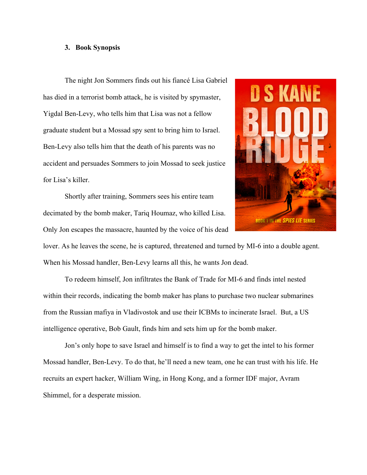#### **3. Book Synopsis**

The night Jon Sommers finds out his fiancé Lisa Gabriel has died in a terrorist bomb attack, he is visited by spymaster, Yigdal Ben-Levy, who tells him that Lisa was not a fellow graduate student but a Mossad spy sent to bring him to Israel. Ben-Levy also tells him that the death of his parents was no accident and persuades Sommers to join Mossad to seek justice for Lisa's killer.

Shortly after training, Sommers sees his entire team decimated by the bomb maker, Tariq Houmaz, who killed Lisa. Only Jon escapes the massacre, haunted by the voice of his dead



lover. As he leaves the scene, he is captured, threatened and turned by MI-6 into a double agent. When his Mossad handler, Ben-Levy learns all this, he wants Jon dead.

To redeem himself, Jon infiltrates the Bank of Trade for MI-6 and finds intel nested within their records, indicating the bomb maker has plans to purchase two nuclear submarines from the Russian mafiya in Vladivostok and use their ICBMs to incinerate Israel. But, a US intelligence operative, Bob Gault, finds him and sets him up for the bomb maker.

Jon's only hope to save Israel and himself is to find a way to get the intel to his former Mossad handler, Ben-Levy. To do that, he'll need a new team, one he can trust with his life. He recruits an expert hacker, William Wing, in Hong Kong, and a former IDF major, Avram Shimmel, for a desperate mission.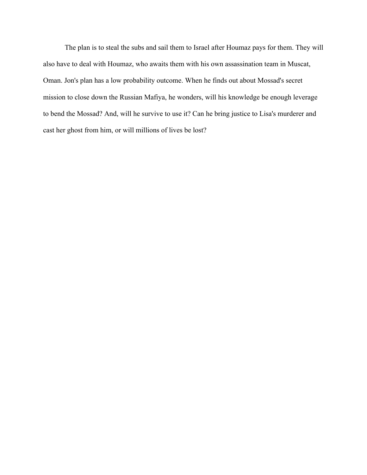The plan is to steal the subs and sail them to Israel after Houmaz pays for them. They will also have to deal with Houmaz, who awaits them with his own assassination team in Muscat, Oman. Jon's plan has a low probability outcome. When he finds out about Mossad's secret mission to close down the Russian Mafiya, he wonders, will his knowledge be enough leverage to bend the Mossad? And, will he survive to use it? Can he bring justice to Lisa's murderer and cast her ghost from him, or will millions of lives be lost?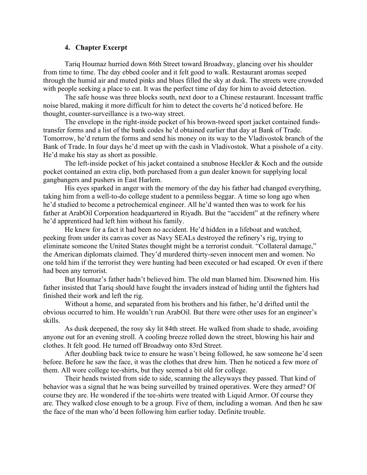#### **4. Chapter Excerpt**

Tariq Houmaz hurried down 86th Street toward Broadway, glancing over his shoulder from time to time. The day ebbed cooler and it felt good to walk. Restaurant aromas seeped through the humid air and muted pinks and blues filled the sky at dusk. The streets were crowded with people seeking a place to eat. It was the perfect time of day for him to avoid detection.

The safe house was three blocks south, next door to a Chinese restaurant. Incessant traffic noise blared, making it more difficult for him to detect the coverts he'd noticed before. He thought, counter-surveillance is a two-way street.

The envelope in the right-inside pocket of his brown-tweed sport jacket contained fundstransfer forms and a list of the bank codes he'd obtained earlier that day at Bank of Trade. Tomorrow, he'd return the forms and send his money on its way to the Vladivostok branch of the Bank of Trade. In four days he'd meet up with the cash in Vladivostok. What a pisshole of a city. He'd make his stay as short as possible.

The left-inside pocket of his jacket contained a snubnose Heckler  $\&$  Koch and the outside pocket contained an extra clip, both purchased from a gun dealer known for supplying local gangbangers and pushers in East Harlem.

His eyes sparked in anger with the memory of the day his father had changed everything, taking him from a well-to-do college student to a penniless beggar. A time so long ago when he'd studied to become a petrochemical engineer. All he'd wanted then was to work for his father at ArabOil Corporation headquartered in Riyadh. But the "accident" at the refinery where he'd apprenticed had left him without his family.

He knew for a fact it had been no accident. He'd hidden in a lifeboat and watched, peeking from under its canvas cover as Navy SEALs destroyed the refinery's rig, trying to eliminate someone the United States thought might be a terrorist conduit. "Collateral damage," the American diplomats claimed. They'd murdered thirty-seven innocent men and women. No one told him if the terrorist they were hunting had been executed or had escaped. Or even if there had been any terrorist.

But Houmaz's father hadn't believed him. The old man blamed him. Disowned him. His father insisted that Tariq should have fought the invaders instead of hiding until the fighters had finished their work and left the rig.

Without a home, and separated from his brothers and his father, he'd drifted until the obvious occurred to him. He wouldn't run ArabOil. But there were other uses for an engineer's skills.

As dusk deepened, the rosy sky lit 84th street. He walked from shade to shade, avoiding anyone out for an evening stroll. A cooling breeze rolled down the street, blowing his hair and clothes. It felt good. He turned off Broadway onto 83rd Street.

After doubling back twice to ensure he wasn't being followed, he saw someone he'd seen before. Before he saw the face, it was the clothes that drew him. Then he noticed a few more of them. All wore college tee-shirts, but they seemed a bit old for college.

Their heads twisted from side to side, scanning the alleyways they passed. That kind of behavior was a signal that he was being surveilled by trained operatives. Were they armed? Of course they are. He wondered if the tee-shirts were treated with Liquid Armor. Of course they are. They walked close enough to be a group. Five of them, including a woman. And then he saw the face of the man who'd been following him earlier today. Definite trouble.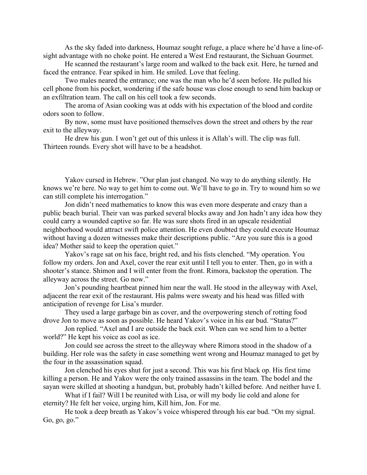As the sky faded into darkness, Houmaz sought refuge, a place where he'd have a line-ofsight advantage with no choke point. He entered a West End restaurant, the Sichuan Gourmet.

He scanned the restaurant's large room and walked to the back exit. Here, he turned and faced the entrance. Fear spiked in him. He smiled. Love that feeling.

Two males neared the entrance; one was the man who he'd seen before. He pulled his cell phone from his pocket, wondering if the safe house was close enough to send him backup or an exfiltration team. The call on his cell took a few seconds.

The aroma of Asian cooking was at odds with his expectation of the blood and cordite odors soon to follow.

By now, some must have positioned themselves down the street and others by the rear exit to the alleyway.

He drew his gun. I won't get out of this unless it is Allah's will. The clip was full. Thirteen rounds. Every shot will have to be a headshot.

Yakov cursed in Hebrew. "Our plan just changed. No way to do anything silently. He knows we're here. No way to get him to come out. We'll have to go in. Try to wound him so we can still complete his interrogation."

Jon didn't need mathematics to know this was even more desperate and crazy than a public beach burial. Their van was parked several blocks away and Jon hadn't any idea how they could carry a wounded captive so far. He was sure shots fired in an upscale residential neighborhood would attract swift police attention. He even doubted they could execute Houmaz without having a dozen witnesses make their descriptions public. "Are you sure this is a good idea? Mother said to keep the operation quiet."

Yakov's rage sat on his face, bright red, and his fists clenched. "My operation. You follow my orders. Jon and Axel, cover the rear exit until I tell you to enter. Then, go in with a shooter's stance. Shimon and I will enter from the front. Rimora, backstop the operation. The alleyway across the street. Go now."

Jon's pounding heartbeat pinned him near the wall. He stood in the alleyway with Axel, adjacent the rear exit of the restaurant. His palms were sweaty and his head was filled with anticipation of revenge for Lisa's murder.

They used a large garbage bin as cover, and the overpowering stench of rotting food drove Jon to move as soon as possible. He heard Yakov's voice in his ear bud. "Status?"

Jon replied. "Axel and I are outside the back exit. When can we send him to a better world?" He kept his voice as cool as ice.

Jon could see across the street to the alleyway where Rimora stood in the shadow of a building. Her role was the safety in case something went wrong and Houmaz managed to get by the four in the assassination squad.

Jon clenched his eyes shut for just a second. This was his first black op. His first time killing a person. He and Yakov were the only trained assassins in the team. The bodel and the sayan were skilled at shooting a handgun, but, probably hadn't killed before. And neither have I.

What if I fail? Will I be reunited with Lisa, or will my body lie cold and alone for eternity? He felt her voice, urging him, Kill him, Jon. For me.

He took a deep breath as Yakov's voice whispered through his ear bud. "On my signal. Go, go, go."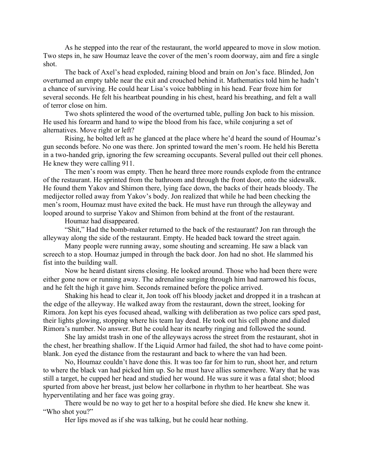As he stepped into the rear of the restaurant, the world appeared to move in slow motion. Two steps in, he saw Houmaz leave the cover of the men's room doorway, aim and fire a single shot.

The back of Axel's head exploded, raining blood and brain on Jon's face. Blinded, Jon overturned an empty table near the exit and crouched behind it. Mathematics told him he hadn't a chance of surviving. He could hear Lisa's voice babbling in his head. Fear froze him for several seconds. He felt his heartbeat pounding in his chest, heard his breathing, and felt a wall of terror close on him.

Two shots splintered the wood of the overturned table, pulling Jon back to his mission. He used his forearm and hand to wipe the blood from his face, while conjuring a set of alternatives. Move right or left?

Rising, he bolted left as he glanced at the place where he'd heard the sound of Houmaz's gun seconds before. No one was there. Jon sprinted toward the men's room. He held his Beretta in a two-handed grip, ignoring the few screaming occupants. Several pulled out their cell phones. He knew they were calling 911.

The men's room was empty. Then he heard three more rounds explode from the entrance of the restaurant. He sprinted from the bathroom and through the front door, onto the sidewalk. He found them Yakov and Shimon there, lying face down, the backs of their heads bloody. The medijector rolled away from Yakov's body. Jon realized that while he had been checking the men's room, Houmaz must have exited the back. He must have run through the alleyway and looped around to surprise Yakov and Shimon from behind at the front of the restaurant.

Houmaz had disappeared.

"Shit," Had the bomb-maker returned to the back of the restaurant? Jon ran through the alleyway along the side of the restaurant. Empty. He headed back toward the street again.

Many people were running away, some shouting and screaming. He saw a black van screech to a stop. Houmaz jumped in through the back door. Jon had no shot. He slammed his fist into the building wall.

Now he heard distant sirens closing. He looked around. Those who had been there were either gone now or running away. The adrenaline surging through him had narrowed his focus, and he felt the high it gave him. Seconds remained before the police arrived.

Shaking his head to clear it, Jon took off his bloody jacket and dropped it in a trashcan at the edge of the alleyway. He walked away from the restaurant, down the street, looking for Rimora. Jon kept his eyes focused ahead, walking with deliberation as two police cars sped past, their lights glowing, stopping where his team lay dead. He took out his cell phone and dialed Rimora's number. No answer. But he could hear its nearby ringing and followed the sound.

She lay amidst trash in one of the alleyways across the street from the restaurant, shot in the chest, her breathing shallow. If the Liquid Armor had failed, the shot had to have come pointblank. Jon eyed the distance from the restaurant and back to where the van had been.

No, Houmaz couldn't have done this. It was too far for him to run, shoot her, and return to where the black van had picked him up. So he must have allies somewhere. Wary that he was still a target, he cupped her head and studied her wound. He was sure it was a fatal shot; blood spurted from above her breast, just below her collarbone in rhythm to her heartbeat. She was hyperventilating and her face was going gray.

There would be no way to get her to a hospital before she died. He knew she knew it. "Who shot you?"

Her lips moved as if she was talking, but he could hear nothing.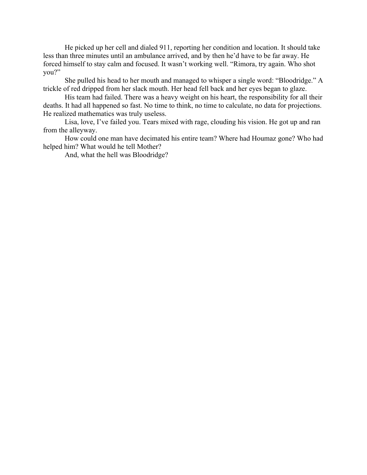He picked up her cell and dialed 911, reporting her condition and location. It should take less than three minutes until an ambulance arrived, and by then he'd have to be far away. He forced himself to stay calm and focused. It wasn't working well. "Rimora, try again. Who shot you?"

She pulled his head to her mouth and managed to whisper a single word: "Bloodridge." A trickle of red dripped from her slack mouth. Her head fell back and her eyes began to glaze.

His team had failed. There was a heavy weight on his heart, the responsibility for all their deaths. It had all happened so fast. No time to think, no time to calculate, no data for projections. He realized mathematics was truly useless.

Lisa, love, I've failed you. Tears mixed with rage, clouding his vision. He got up and ran from the alleyway.

How could one man have decimated his entire team? Where had Houmaz gone? Who had helped him? What would he tell Mother?

And, what the hell was Bloodridge?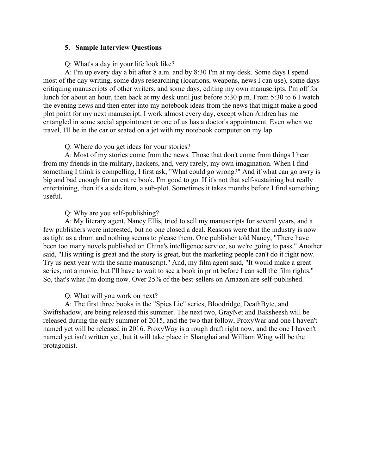#### **5. Sample Interview Questions**

Q: What's a day in your life look like?

A: I'm up every day a bit after 8 a.m. and by 8:30 I'm at my desk. Some days I spend most of the day writing, some days researching (locations, weapons, news I can use), some days critiquing manuscripts of other writers, and some days, editing my own manuscripts. I'm off for lunch for about an hour, then back at my desk until just before 5:30 p.m. From 5:30 to 6 I watch the evening news and then enter into my notebook ideas from the news that might make a good plot point for my next manuscript. I work almost every day, except when Andrea has me entangled in some social appointment or one of us has a doctor's appointment. Even when we travel, I'll be in the car or seated on a jet with my notebook computer on my lap.

#### Q: Where do you get ideas for your stories?

A: Most of my stories come from the news. Those that don't come from things I hear from my friends in the military, hackers, and, very rarely, my own imagination. When I find something I think is compelling, I first ask, "What could go wrong?" And if what can go awry is big and bad enough for an entire book, I'm good to go. If it's not that self-sustaining but really entertaining, then it's a side item, a sub-plot. Sometimes it takes months before I find something useful.

Q: Why are you self-publishing?

A: My literary agent, Nancy Ellis, tried to sell my manuscripts for several years, and a few publishers were interested, but no one closed a deal. Reasons were that the industry is now as tight as a drum and nothing seems to please them. One publisher told Nancy, "There have been too many novels published on China's intelligence service, so we're going to pass." Another said, "His writing is great and the story is great, but the marketing people can't do it right now. Try us next year with the same manuscript." And, my film agent said, "It would make a great series, not a movie, but I'll have to wait to see a book in print before I can sell the film rights." So, that's what I'm doing now. Over 25% of the best-sellers on Amazon are self-published.

Q: What will you work on next?

A: The first three books in the "Spies Lie" series, Bloodridge, DeathByte, and Swiftshadow, are being released this summer. The next two, GrayNet and Baksheesh will be released during the early summer of 2015, and the two that follow, ProxyWar and one I haven't named yet will be released in 2016. ProxyWay is a rough draft right now, and the one I haven't named yet isn't written yet, but it will take place in Shanghai and William Wing will be the protagonist.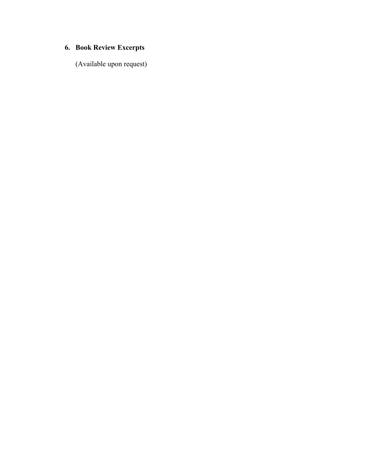# **6. Book Review Excerpts**

(Available upon request)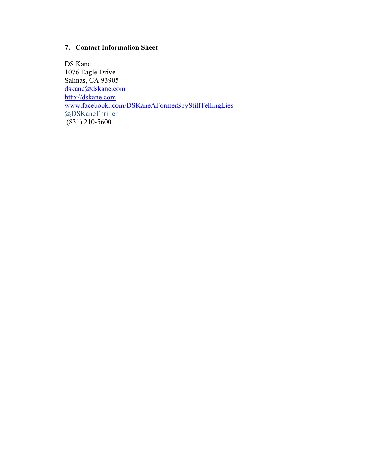# **7. Contact Information Sheet**

DS Kane 1076 Eagle Drive Salinas, CA 93905 dskane@dskane.com http://dskane.com www.facebook..com/DSKaneAFormerSpyStillTellingLies @DSKaneThriller (831) 210-5600